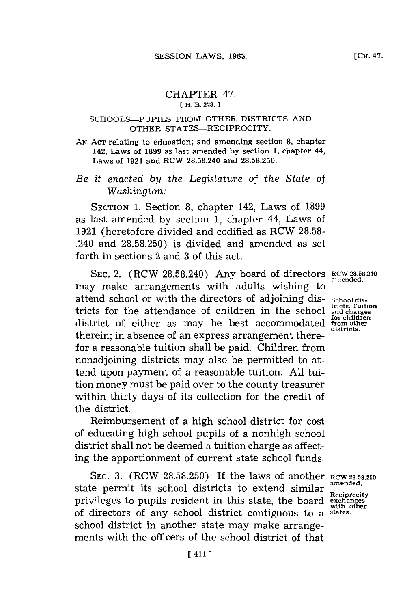## CHAPTER 47. **( H. B. 228. 1**

## SCHOOLS-PUPILS FROM OTHER DISTRICTS **AND** OTHER STATES-RECIPROCITY.

**AN ACr** relating to education; and amending section **8,** chapter 142, Laws of **1899** as last amended **by** section **1,** chapter 44, Laws of **1921** and RCW **28.58.240** and **28.58.250.**

## *Be it enacted by the Legislature of the State of Washington:*

SECTION **1.** Section **8,** chapter 142, Laws of **1899** as last amended **by** section **1,** chapter 44, Laws of **1921** (heretofore divided and codified as RCW **28.58-** .240 and **28.58.250)** is divided and amended as set forth in sections 2 and **3** of this act.

**SEC.** 2. (RCW **28.58.240)** Any board of directors **RCW 28.58.240** may make arrangements with adults wishing to attend school or with the directors of adjoining dis- **School dis**tricts for the attendance of children in the school  $\frac{\text{tricts}}{\text{and } \text{ch}}$ **for children** district of either as may be best accommodated from **other** therein; in absence of an express arrangement therefor a reasonable tuition shall be paid. Children from nonadjoining districts may also be permitted to attend upon payment of a reasonable tuition. **All** tuition money must be paid over to the county treasurer within thirty days of its collection for the credit of the district.

Reimbursement of a high school district for cost of educating high school pupils of a nonhigh school district shall not be deemed a tuition charge as affecting the apportionment of current state school funds.

**SEC. 3.** (RCW **28.58.250)** If the laws of another **RCW 28.58.250** state permit its school districts to extend similar **amended**. privileges to pupils resident in this state, the board **exchanges** with other **with other** of directors of any school district contiguous to a **states.** school district in another state may make arrangements with the officers of the school district of that

**amended.**